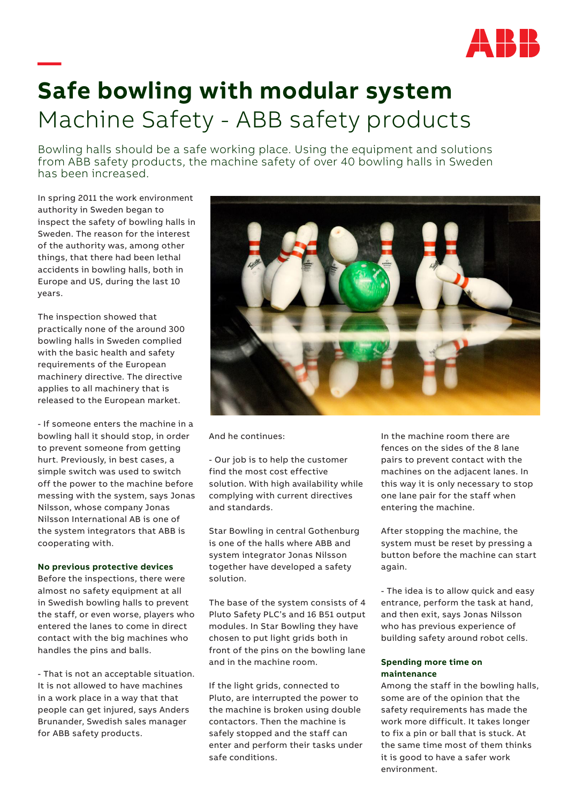

## **— Safe bowling with modular system** Machine Safety - ABB safety products

Bowling halls should be a safe working place. Using the equipment and solutions from ABB safety products, the machine safety of over 40 bowling halls in Sweden has been increased.

In spring 2011 the work environment authority in Sweden began to inspect the safety of bowling halls in Sweden. The reason for the interest of the authority was, among other things, that there had been lethal accidents in bowling halls, both in Europe and US, during the last 10 years.

The inspection showed that practically none of the around 300 bowling halls in Sweden complied with the basic health and safety requirements of the European machinery directive. The directive applies to all machinery that is released to the European market.

- If someone enters the machine in a bowling hall it should stop, in order to prevent someone from getting hurt. Previously, in best cases, a simple switch was used to switch off the power to the machine before messing with the system, says Jonas Nilsson, whose company Jonas Nilsson International AB is one of the system integrators that ABB is cooperating with.

## **No previous protective devices**

Before the inspections, there were almost no safety equipment at all in Swedish bowling halls to prevent the staff, or even worse, players who entered the lanes to come in direct contact with the big machines who handles the pins and balls.

- That is not an acceptable situation. It is not allowed to have machines in a work place in a way that that people can get injured, says Anders Brunander, Swedish sales manager for ABB safety products.



And he continues:

- Our job is to help the customer find the most cost effective solution. With high availability while complying with current directives and standards.

Star Bowling in central Gothenburg is one of the halls where ABB and system integrator Jonas Nilsson together have developed a safety solution.

The base of the system consists of 4 Pluto Safety PLC's and 16 B51 output modules. In Star Bowling they have chosen to put light grids both in front of the pins on the bowling lane and in the machine room.

If the light grids, connected to Pluto, are interrupted the power to the machine is broken using double contactors. Then the machine is safely stopped and the staff can enter and perform their tasks under safe conditions.

In the machine room there are fences on the sides of the 8 lane pairs to prevent contact with the machines on the adjacent lanes. In this way it is only necessary to stop one lane pair for the staff when entering the machine.

After stopping the machine, the system must be reset by pressing a button before the machine can start again.

- The idea is to allow quick and easy entrance, perform the task at hand, and then exit, says Jonas Nilsson who has previous experience of building safety around robot cells.

## **Spending more time on maintenance**

Among the staff in the bowling halls, some are of the opinion that the safety requirements has made the work more difficult. It takes longer to fix a pin or ball that is stuck. At the same time most of them thinks it is good to have a safer work environment.